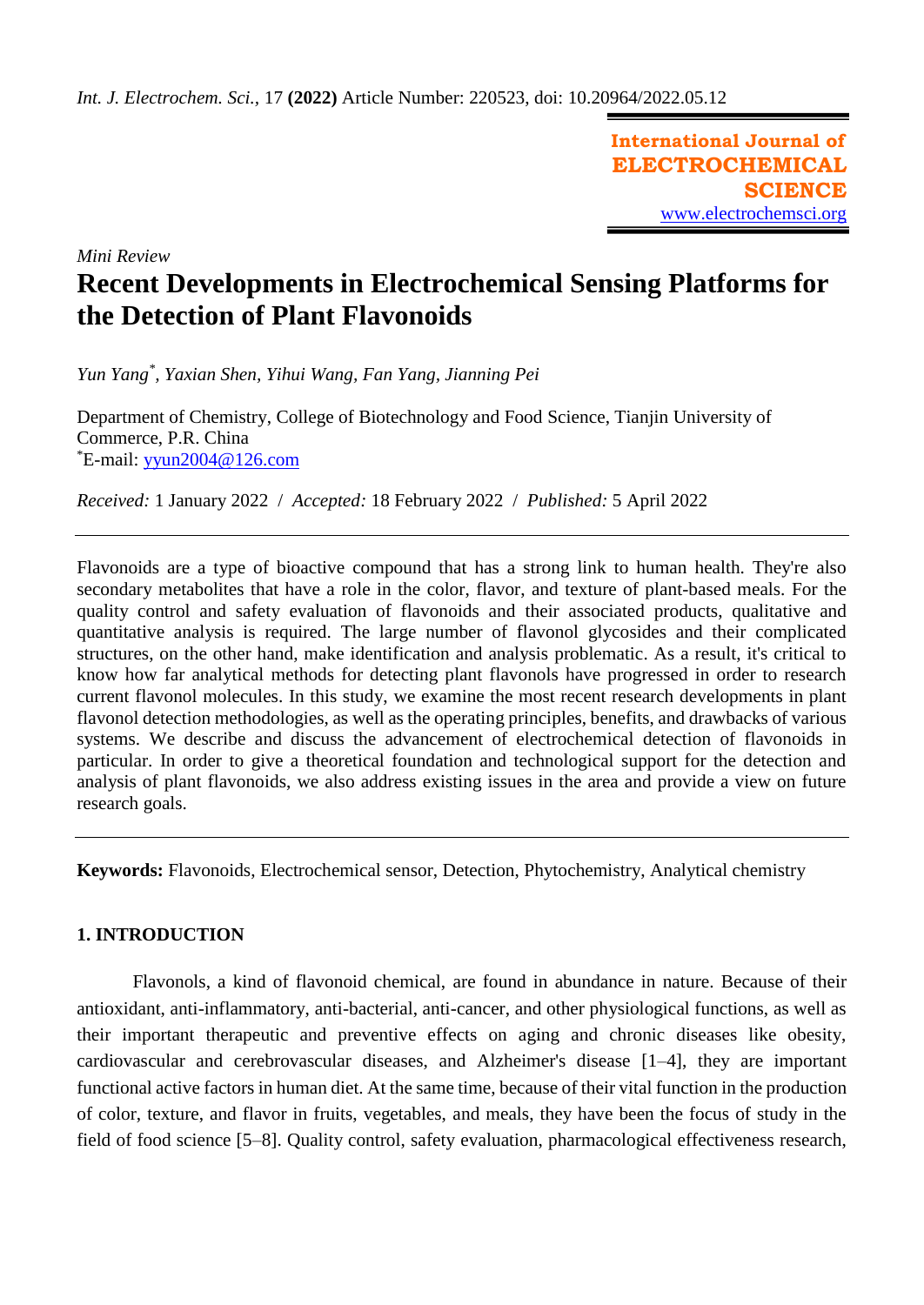**International Journal of ELECTROCHEMICAL SCIENCE** [www.electrochemsci.org](http://www.electrochemsci.org/)

*Mini Review*

# **Recent Developments in Electrochemical Sensing Platforms for the Detection of Plant Flavonoids**

*Yun Yang\* , Yaxian Shen, Yihui Wang, Fan Yang, Jianning Pei*

Department of Chemistry, College of Biotechnology and Food Science, Tianjin University of Commerce, P.R. China  $E$ -mail: [yyun2004@126.com](mailto:yyun2004@126.com)

*Received:* 1 January 2022/ *Accepted:* 18 February 2022 / *Published:* 5 April 2022

Flavonoids are a type of bioactive compound that has a strong link to human health. They're also secondary metabolites that have a role in the color, flavor, and texture of plant-based meals. For the quality control and safety evaluation of flavonoids and their associated products, qualitative and quantitative analysis is required. The large number of flavonol glycosides and their complicated structures, on the other hand, make identification and analysis problematic. As a result, it's critical to know how far analytical methods for detecting plant flavonols have progressed in order to research current flavonol molecules. In this study, we examine the most recent research developments in plant flavonol detection methodologies, as well as the operating principles, benefits, and drawbacks of various systems. We describe and discuss the advancement of electrochemical detection of flavonoids in particular. In order to give a theoretical foundation and technological support for the detection and analysis of plant flavonoids, we also address existing issues in the area and provide a view on future research goals.

**Keywords:** Flavonoids, Electrochemical sensor, Detection, Phytochemistry, Analytical chemistry

## **1. INTRODUCTION**

Flavonols, a kind of flavonoid chemical, are found in abundance in nature. Because of their antioxidant, anti-inflammatory, anti-bacterial, anti-cancer, and other physiological functions, as well as their important therapeutic and preventive effects on aging and chronic diseases like obesity, cardiovascular and cerebrovascular diseases, and Alzheimer's disease [1–4], they are important functional active factors in human diet. At the same time, because of their vital function in the production of color, texture, and flavor in fruits, vegetables, and meals, they have been the focus of study in the field of food science [5–8]. Quality control, safety evaluation, pharmacological effectiveness research,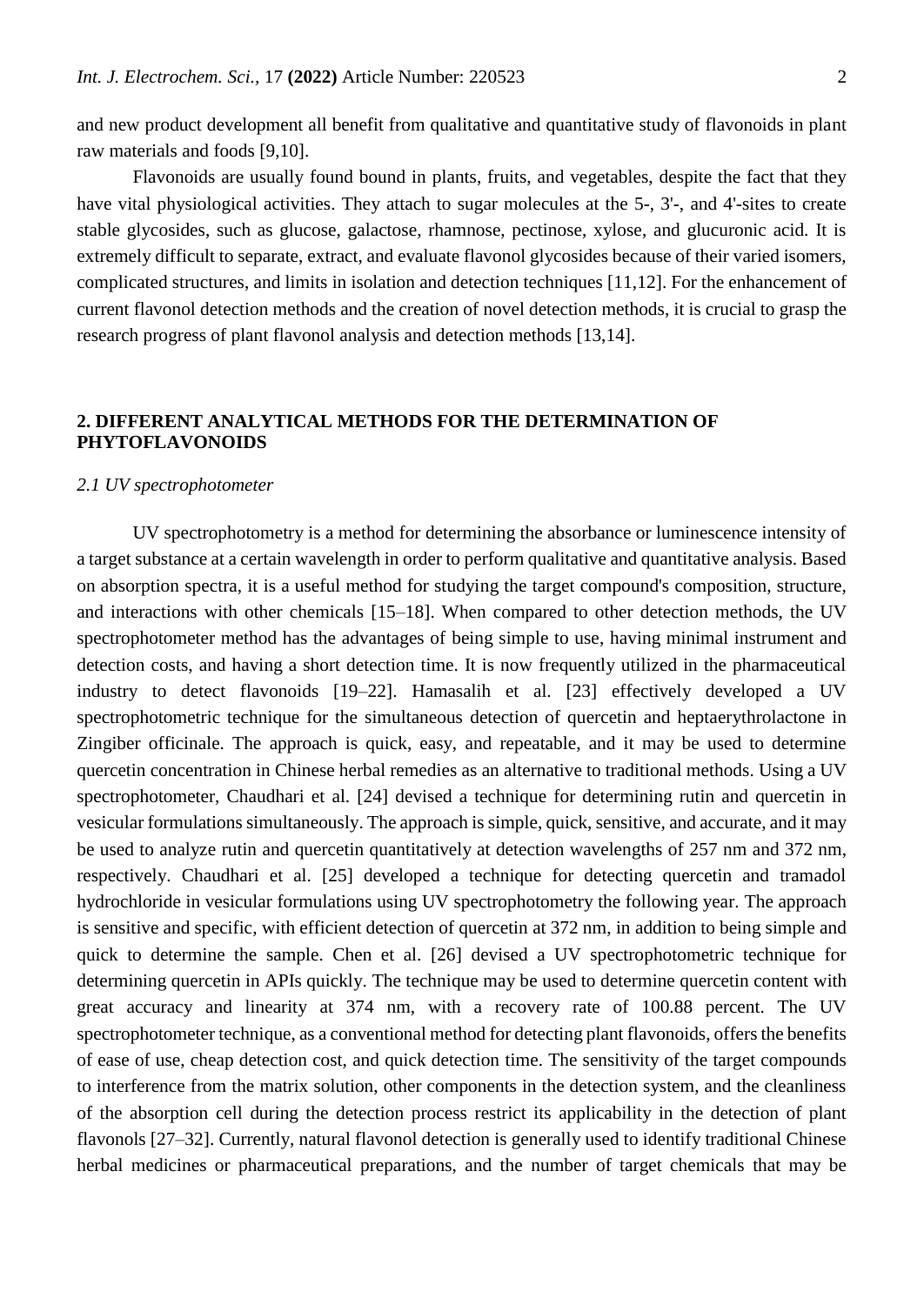and new product development all benefit from qualitative and quantitative study of flavonoids in plant raw materials and foods [9,10].

Flavonoids are usually found bound in plants, fruits, and vegetables, despite the fact that they have vital physiological activities. They attach to sugar molecules at the 5-, 3'-, and 4'-sites to create stable glycosides, such as glucose, galactose, rhamnose, pectinose, xylose, and glucuronic acid. It is extremely difficult to separate, extract, and evaluate flavonol glycosides because of their varied isomers, complicated structures, and limits in isolation and detection techniques [11,12]. For the enhancement of current flavonol detection methods and the creation of novel detection methods, it is crucial to grasp the research progress of plant flavonol analysis and detection methods [13,14].

## **2. DIFFERENT ANALYTICAL METHODS FOR THE DETERMINATION OF PHYTOFLAVONOIDS**

## *2.1 UV spectrophotometer*

UV spectrophotometry is a method for determining the absorbance or luminescence intensity of a target substance at a certain wavelength in order to perform qualitative and quantitative analysis. Based on absorption spectra, it is a useful method for studying the target compound's composition, structure, and interactions with other chemicals [15–18]. When compared to other detection methods, the UV spectrophotometer method has the advantages of being simple to use, having minimal instrument and detection costs, and having a short detection time. It is now frequently utilized in the pharmaceutical industry to detect flavonoids [19–22]. Hamasalih et al. [23] effectively developed a UV spectrophotometric technique for the simultaneous detection of quercetin and heptaerythrolactone in Zingiber officinale. The approach is quick, easy, and repeatable, and it may be used to determine quercetin concentration in Chinese herbal remedies as an alternative to traditional methods. Using a UV spectrophotometer, Chaudhari et al. [24] devised a technique for determining rutin and quercetin in vesicular formulations simultaneously. The approach is simple, quick, sensitive, and accurate, and it may be used to analyze rutin and quercetin quantitatively at detection wavelengths of 257 nm and 372 nm, respectively. Chaudhari et al. [25] developed a technique for detecting quercetin and tramadol hydrochloride in vesicular formulations using UV spectrophotometry the following year. The approach is sensitive and specific, with efficient detection of quercetin at 372 nm, in addition to being simple and quick to determine the sample. Chen et al. [26] devised a UV spectrophotometric technique for determining quercetin in APIs quickly. The technique may be used to determine quercetin content with great accuracy and linearity at 374 nm, with a recovery rate of 100.88 percent. The UV spectrophotometer technique, as a conventional method for detecting plant flavonoids, offers the benefits of ease of use, cheap detection cost, and quick detection time. The sensitivity of the target compounds to interference from the matrix solution, other components in the detection system, and the cleanliness of the absorption cell during the detection process restrict its applicability in the detection of plant flavonols [27–32]. Currently, natural flavonol detection is generally used to identify traditional Chinese herbal medicines or pharmaceutical preparations, and the number of target chemicals that may be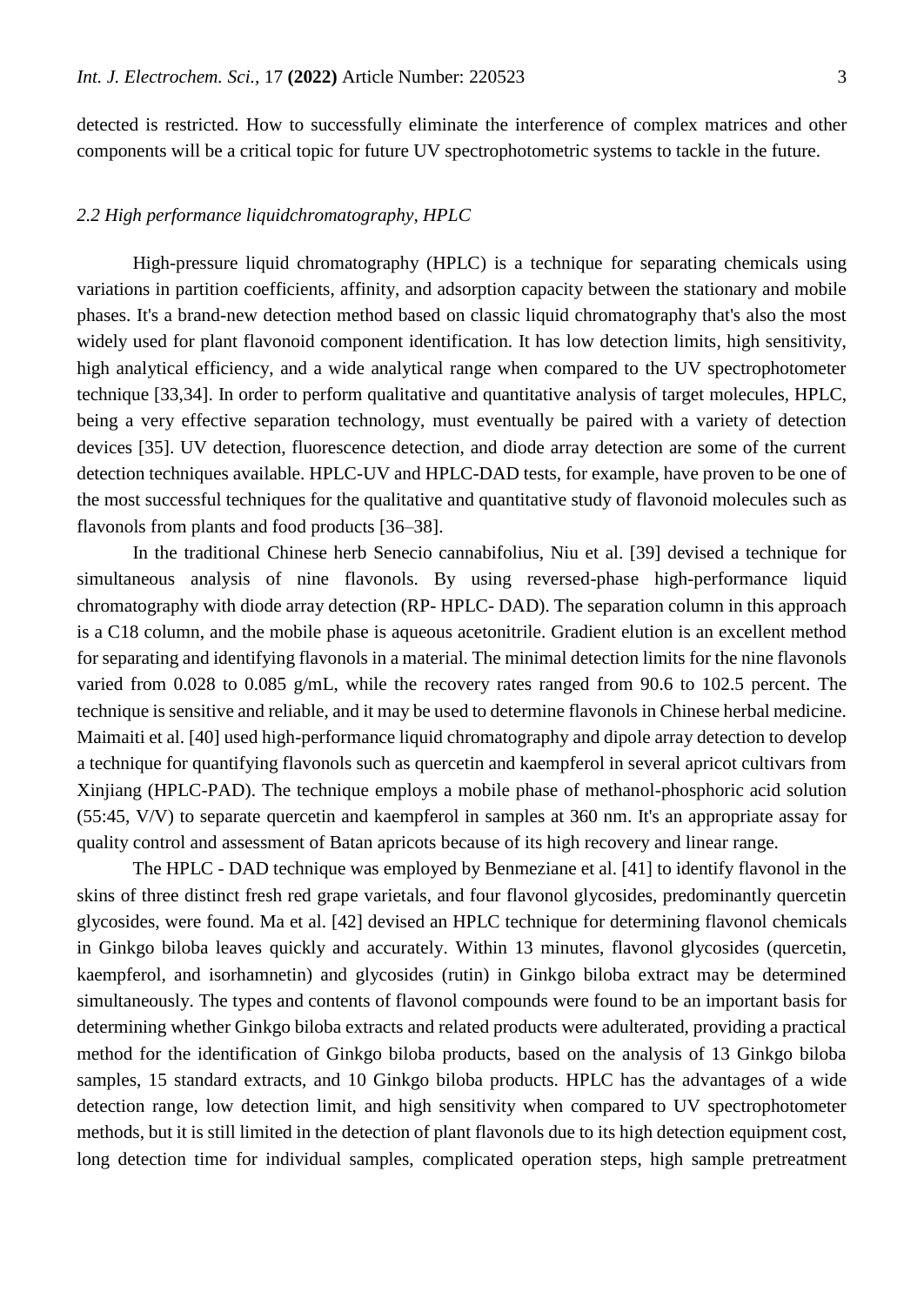detected is restricted. How to successfully eliminate the interference of complex matrices and other components will be a critical topic for future UV spectrophotometric systems to tackle in the future.

## *2.2 High performance liquidchromatography, HPLC*

High-pressure liquid chromatography (HPLC) is a technique for separating chemicals using variations in partition coefficients, affinity, and adsorption capacity between the stationary and mobile phases. It's a brand-new detection method based on classic liquid chromatography that's also the most widely used for plant flavonoid component identification. It has low detection limits, high sensitivity, high analytical efficiency, and a wide analytical range when compared to the UV spectrophotometer technique [33,34]. In order to perform qualitative and quantitative analysis of target molecules, HPLC, being a very effective separation technology, must eventually be paired with a variety of detection devices [35]. UV detection, fluorescence detection, and diode array detection are some of the current detection techniques available. HPLC-UV and HPLC-DAD tests, for example, have proven to be one of the most successful techniques for the qualitative and quantitative study of flavonoid molecules such as flavonols from plants and food products [36–38].

In the traditional Chinese herb Senecio cannabifolius, Niu et al. [39] devised a technique for simultaneous analysis of nine flavonols. By using reversed-phase high-performance liquid chromatography with diode array detection (RP- HPLC- DAD). The separation column in this approach is a C18 column, and the mobile phase is aqueous acetonitrile. Gradient elution is an excellent method for separating and identifying flavonols in a material. The minimal detection limits for the nine flavonols varied from 0.028 to 0.085 g/mL, while the recovery rates ranged from 90.6 to 102.5 percent. The technique is sensitive and reliable, and it may be used to determine flavonols in Chinese herbal medicine. Maimaiti et al. [40] used high-performance liquid chromatography and dipole array detection to develop a technique for quantifying flavonols such as quercetin and kaempferol in several apricot cultivars from Xinjiang (HPLC-PAD). The technique employs a mobile phase of methanol-phosphoric acid solution (55:45, V/V) to separate quercetin and kaempferol in samples at 360 nm. It's an appropriate assay for quality control and assessment of Batan apricots because of its high recovery and linear range.

The HPLC - DAD technique was employed by Benmeziane et al. [41] to identify flavonol in the skins of three distinct fresh red grape varietals, and four flavonol glycosides, predominantly quercetin glycosides, were found. Ma et al. [42] devised an HPLC technique for determining flavonol chemicals in Ginkgo biloba leaves quickly and accurately. Within 13 minutes, flavonol glycosides (quercetin, kaempferol, and isorhamnetin) and glycosides (rutin) in Ginkgo biloba extract may be determined simultaneously. The types and contents of flavonol compounds were found to be an important basis for determining whether Ginkgo biloba extracts and related products were adulterated, providing a practical method for the identification of Ginkgo biloba products, based on the analysis of 13 Ginkgo biloba samples, 15 standard extracts, and 10 Ginkgo biloba products. HPLC has the advantages of a wide detection range, low detection limit, and high sensitivity when compared to UV spectrophotometer methods, but it is still limited in the detection of plant flavonols due to its high detection equipment cost, long detection time for individual samples, complicated operation steps, high sample pretreatment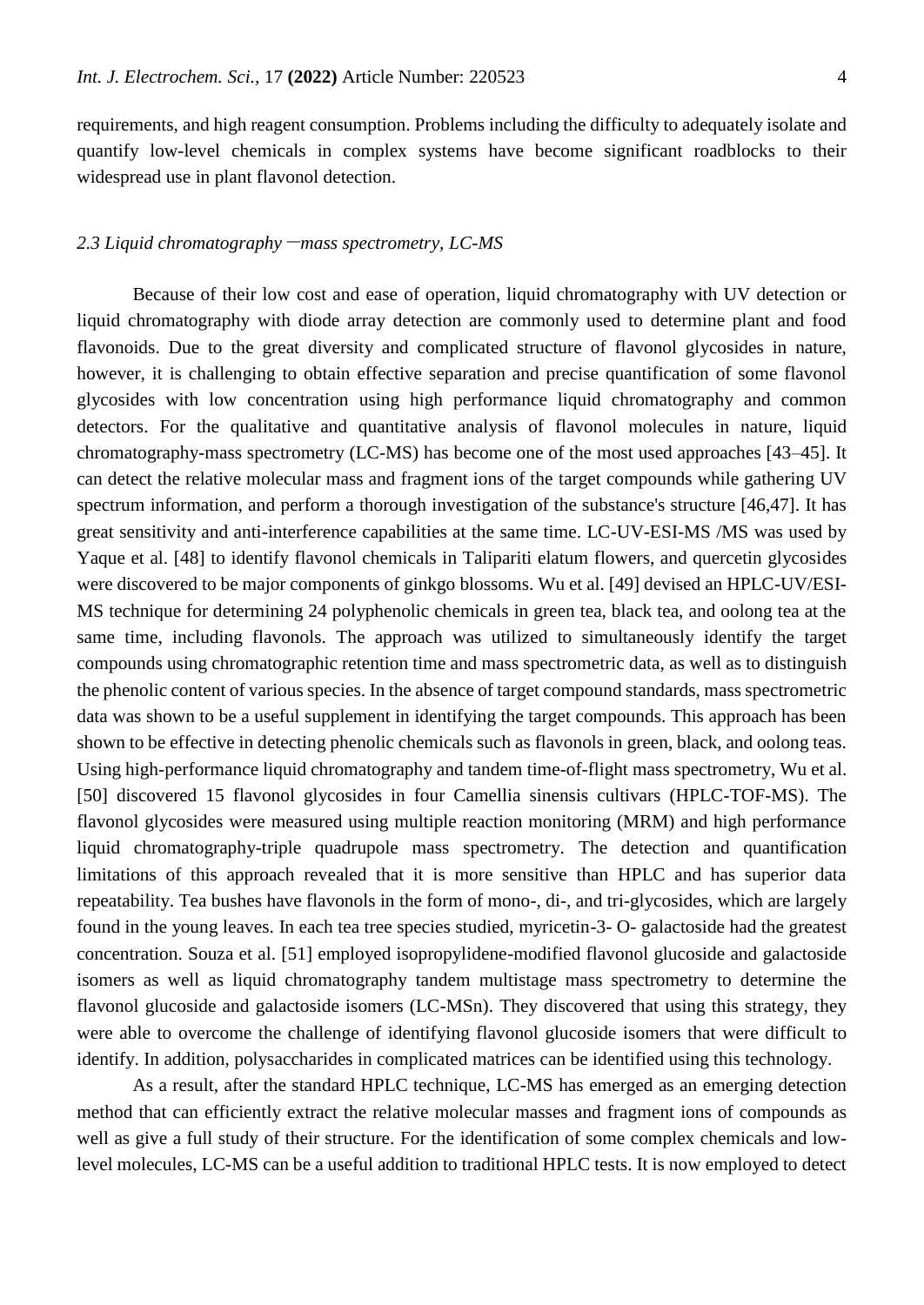requirements, and high reagent consumption. Problems including the difficulty to adequately isolate and quantify low-level chemicals in complex systems have become significant roadblocks to their widespread use in plant flavonol detection.

#### *2.3 Liquid chromatography*-*mass spectrometry, LC-MS*

Because of their low cost and ease of operation, liquid chromatography with UV detection or liquid chromatography with diode array detection are commonly used to determine plant and food flavonoids. Due to the great diversity and complicated structure of flavonol glycosides in nature, however, it is challenging to obtain effective separation and precise quantification of some flavonol glycosides with low concentration using high performance liquid chromatography and common detectors. For the qualitative and quantitative analysis of flavonol molecules in nature, liquid chromatography-mass spectrometry (LC-MS) has become one of the most used approaches [43–45]. It can detect the relative molecular mass and fragment ions of the target compounds while gathering UV spectrum information, and perform a thorough investigation of the substance's structure [46,47]. It has great sensitivity and anti-interference capabilities at the same time. LC-UV-ESI-MS /MS was used by Yaque et al. [48] to identify flavonol chemicals in Talipariti elatum flowers, and quercetin glycosides were discovered to be major components of ginkgo blossoms. Wu et al. [49] devised an HPLC-UV/ESI-MS technique for determining 24 polyphenolic chemicals in green tea, black tea, and oolong tea at the same time, including flavonols. The approach was utilized to simultaneously identify the target compounds using chromatographic retention time and mass spectrometric data, as well as to distinguish the phenolic content of various species. In the absence of target compound standards, mass spectrometric data was shown to be a useful supplement in identifying the target compounds. This approach has been shown to be effective in detecting phenolic chemicals such as flavonols in green, black, and oolong teas. Using high-performance liquid chromatography and tandem time-of-flight mass spectrometry, Wu et al. [50] discovered 15 flavonol glycosides in four Camellia sinensis cultivars (HPLC-TOF-MS). The flavonol glycosides were measured using multiple reaction monitoring (MRM) and high performance liquid chromatography-triple quadrupole mass spectrometry. The detection and quantification limitations of this approach revealed that it is more sensitive than HPLC and has superior data repeatability. Tea bushes have flavonols in the form of mono-, di-, and tri-glycosides, which are largely found in the young leaves. In each tea tree species studied, myricetin-3- O- galactoside had the greatest concentration. Souza et al. [51] employed isopropylidene-modified flavonol glucoside and galactoside isomers as well as liquid chromatography tandem multistage mass spectrometry to determine the flavonol glucoside and galactoside isomers (LC-MSn). They discovered that using this strategy, they were able to overcome the challenge of identifying flavonol glucoside isomers that were difficult to identify. In addition, polysaccharides in complicated matrices can be identified using this technology.

As a result, after the standard HPLC technique, LC-MS has emerged as an emerging detection method that can efficiently extract the relative molecular masses and fragment ions of compounds as well as give a full study of their structure. For the identification of some complex chemicals and lowlevel molecules, LC-MS can be a useful addition to traditional HPLC tests. It is now employed to detect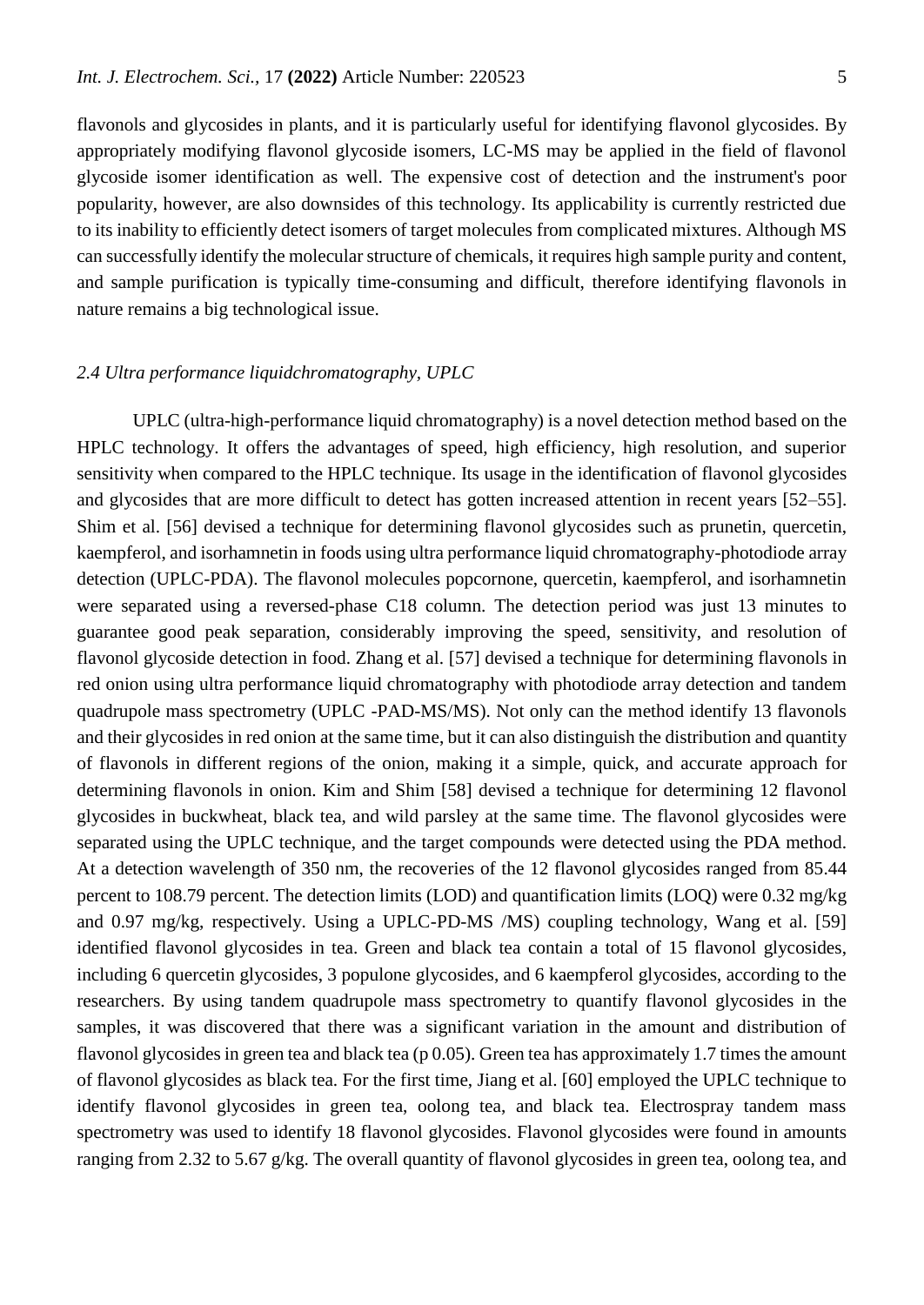flavonols and glycosides in plants, and it is particularly useful for identifying flavonol glycosides. By appropriately modifying flavonol glycoside isomers, LC-MS may be applied in the field of flavonol glycoside isomer identification as well. The expensive cost of detection and the instrument's poor popularity, however, are also downsides of this technology. Its applicability is currently restricted due to its inability to efficiently detect isomers of target molecules from complicated mixtures. Although MS can successfully identify the molecular structure of chemicals, it requires high sample purity and content, and sample purification is typically time-consuming and difficult, therefore identifying flavonols in nature remains a big technological issue.

## *2.4 Ultra performance liquidchromatography, UPLC*

UPLC (ultra-high-performance liquid chromatography) is a novel detection method based on the HPLC technology. It offers the advantages of speed, high efficiency, high resolution, and superior sensitivity when compared to the HPLC technique. Its usage in the identification of flavonol glycosides and glycosides that are more difficult to detect has gotten increased attention in recent years [52–55]. Shim et al. [56] devised a technique for determining flavonol glycosides such as prunetin, quercetin, kaempferol, and isorhamnetin in foods using ultra performance liquid chromatography-photodiode array detection (UPLC-PDA). The flavonol molecules popcornone, quercetin, kaempferol, and isorhamnetin were separated using a reversed-phase C18 column. The detection period was just 13 minutes to guarantee good peak separation, considerably improving the speed, sensitivity, and resolution of flavonol glycoside detection in food. Zhang et al. [57] devised a technique for determining flavonols in red onion using ultra performance liquid chromatography with photodiode array detection and tandem quadrupole mass spectrometry (UPLC -PAD-MS/MS). Not only can the method identify 13 flavonols and their glycosides in red onion at the same time, but it can also distinguish the distribution and quantity of flavonols in different regions of the onion, making it a simple, quick, and accurate approach for determining flavonols in onion. Kim and Shim [58] devised a technique for determining 12 flavonol glycosides in buckwheat, black tea, and wild parsley at the same time. The flavonol glycosides were separated using the UPLC technique, and the target compounds were detected using the PDA method. At a detection wavelength of 350 nm, the recoveries of the 12 flavonol glycosides ranged from 85.44 percent to 108.79 percent. The detection limits (LOD) and quantification limits (LOQ) were 0.32 mg/kg and 0.97 mg/kg, respectively. Using a UPLC-PD-MS /MS) coupling technology, Wang et al. [59] identified flavonol glycosides in tea. Green and black tea contain a total of 15 flavonol glycosides, including 6 quercetin glycosides, 3 populone glycosides, and 6 kaempferol glycosides, according to the researchers. By using tandem quadrupole mass spectrometry to quantify flavonol glycosides in the samples, it was discovered that there was a significant variation in the amount and distribution of flavonol glycosides in green tea and black tea (p 0.05). Green tea has approximately 1.7 times the amount of flavonol glycosides as black tea. For the first time, Jiang et al. [60] employed the UPLC technique to identify flavonol glycosides in green tea, oolong tea, and black tea. Electrospray tandem mass spectrometry was used to identify 18 flavonol glycosides. Flavonol glycosides were found in amounts ranging from 2.32 to 5.67 g/kg. The overall quantity of flavonol glycosides in green tea, oolong tea, and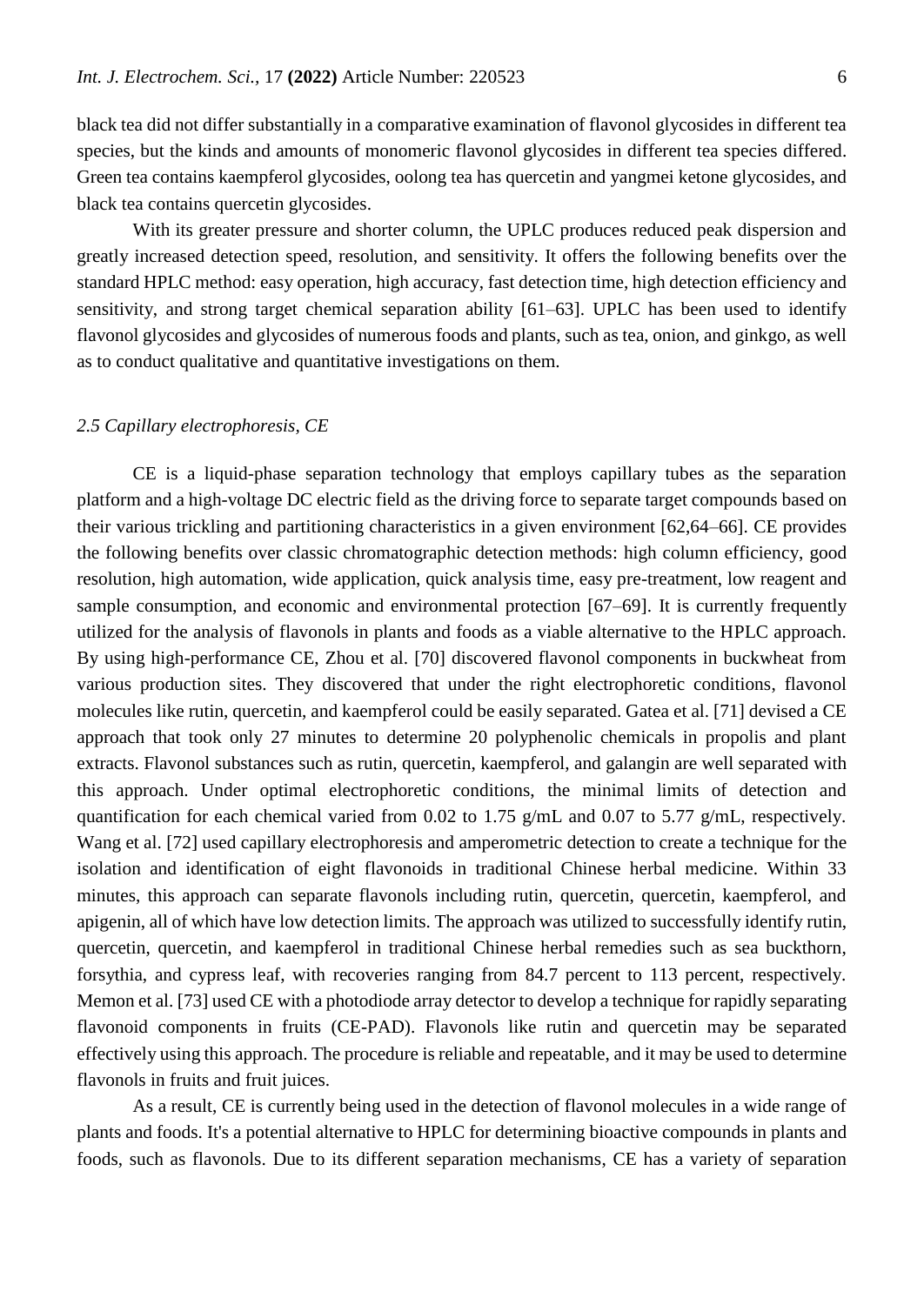black tea did not differ substantially in a comparative examination of flavonol glycosides in different tea species, but the kinds and amounts of monomeric flavonol glycosides in different tea species differed. Green tea contains kaempferol glycosides, oolong tea has quercetin and yangmei ketone glycosides, and black tea contains quercetin glycosides.

With its greater pressure and shorter column, the UPLC produces reduced peak dispersion and greatly increased detection speed, resolution, and sensitivity. It offers the following benefits over the standard HPLC method: easy operation, high accuracy, fast detection time, high detection efficiency and sensitivity, and strong target chemical separation ability [61–63]. UPLC has been used to identify flavonol glycosides and glycosides of numerous foods and plants, such as tea, onion, and ginkgo, as well as to conduct qualitative and quantitative investigations on them.

#### *2.5 Capillary electrophoresis, CE*

CE is a liquid-phase separation technology that employs capillary tubes as the separation platform and a high-voltage DC electric field as the driving force to separate target compounds based on their various trickling and partitioning characteristics in a given environment [62,64–66]. CE provides the following benefits over classic chromatographic detection methods: high column efficiency, good resolution, high automation, wide application, quick analysis time, easy pre-treatment, low reagent and sample consumption, and economic and environmental protection [67–69]. It is currently frequently utilized for the analysis of flavonols in plants and foods as a viable alternative to the HPLC approach. By using high-performance CE, Zhou et al. [70] discovered flavonol components in buckwheat from various production sites. They discovered that under the right electrophoretic conditions, flavonol molecules like rutin, quercetin, and kaempferol could be easily separated. Gatea et al. [71] devised a CE approach that took only 27 minutes to determine 20 polyphenolic chemicals in propolis and plant extracts. Flavonol substances such as rutin, quercetin, kaempferol, and galangin are well separated with this approach. Under optimal electrophoretic conditions, the minimal limits of detection and quantification for each chemical varied from 0.02 to 1.75 g/mL and 0.07 to 5.77 g/mL, respectively. Wang et al. [72] used capillary electrophoresis and amperometric detection to create a technique for the isolation and identification of eight flavonoids in traditional Chinese herbal medicine. Within 33 minutes, this approach can separate flavonols including rutin, quercetin, quercetin, kaempferol, and apigenin, all of which have low detection limits. The approach was utilized to successfully identify rutin, quercetin, quercetin, and kaempferol in traditional Chinese herbal remedies such as sea buckthorn, forsythia, and cypress leaf, with recoveries ranging from 84.7 percent to 113 percent, respectively. Memon et al. [73] used CE with a photodiode array detector to develop a technique for rapidly separating flavonoid components in fruits (CE-PAD). Flavonols like rutin and quercetin may be separated effectively using this approach. The procedure is reliable and repeatable, and it may be used to determine flavonols in fruits and fruit juices.

As a result, CE is currently being used in the detection of flavonol molecules in a wide range of plants and foods. It's a potential alternative to HPLC for determining bioactive compounds in plants and foods, such as flavonols. Due to its different separation mechanisms, CE has a variety of separation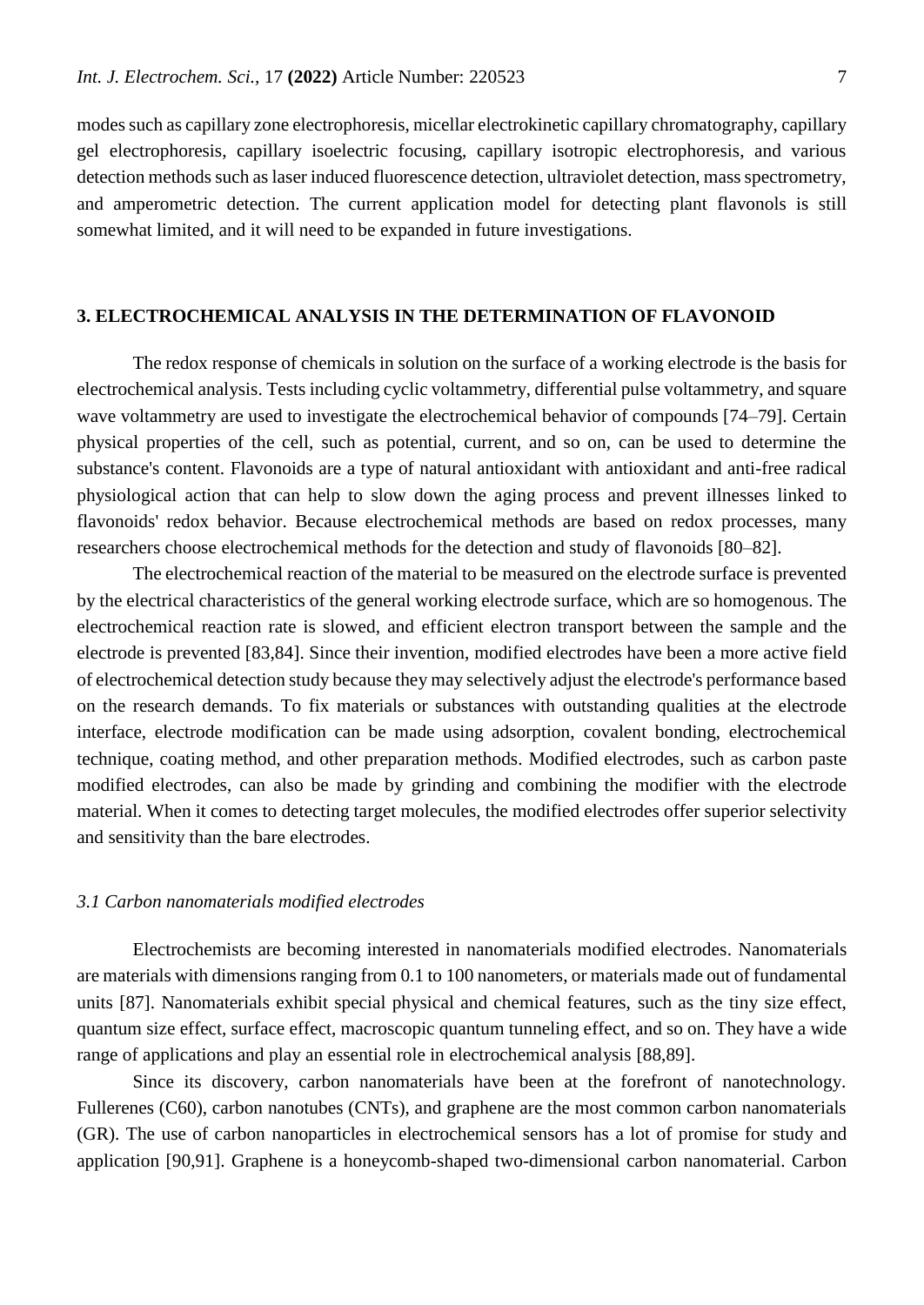modes such as capillary zone electrophoresis, micellar electrokinetic capillary chromatography, capillary gel electrophoresis, capillary isoelectric focusing, capillary isotropic electrophoresis, and various detection methods such as laser induced fluorescence detection, ultraviolet detection, mass spectrometry, and amperometric detection. The current application model for detecting plant flavonols is still somewhat limited, and it will need to be expanded in future investigations.

## **3. ELECTROCHEMICAL ANALYSIS IN THE DETERMINATION OF FLAVONOID**

The redox response of chemicals in solution on the surface of a working electrode is the basis for electrochemical analysis. Tests including cyclic voltammetry, differential pulse voltammetry, and square wave voltammetry are used to investigate the electrochemical behavior of compounds [74–79]. Certain physical properties of the cell, such as potential, current, and so on, can be used to determine the substance's content. Flavonoids are a type of natural antioxidant with antioxidant and anti-free radical physiological action that can help to slow down the aging process and prevent illnesses linked to flavonoids' redox behavior. Because electrochemical methods are based on redox processes, many researchers choose electrochemical methods for the detection and study of flavonoids [80–82].

The electrochemical reaction of the material to be measured on the electrode surface is prevented by the electrical characteristics of the general working electrode surface, which are so homogenous. The electrochemical reaction rate is slowed, and efficient electron transport between the sample and the electrode is prevented [83,84]. Since their invention, modified electrodes have been a more active field of electrochemical detection study because they may selectively adjust the electrode's performance based on the research demands. To fix materials or substances with outstanding qualities at the electrode interface, electrode modification can be made using adsorption, covalent bonding, electrochemical technique, coating method, and other preparation methods. Modified electrodes, such as carbon paste modified electrodes, can also be made by grinding and combining the modifier with the electrode material. When it comes to detecting target molecules, the modified electrodes offer superior selectivity and sensitivity than the bare electrodes.

#### *3.1 Carbon nanomaterials modified electrodes*

Electrochemists are becoming interested in nanomaterials modified electrodes. Nanomaterials are materials with dimensions ranging from 0.1 to 100 nanometers, or materials made out of fundamental units [87]. Nanomaterials exhibit special physical and chemical features, such as the tiny size effect, quantum size effect, surface effect, macroscopic quantum tunneling effect, and so on. They have a wide range of applications and play an essential role in electrochemical analysis [88,89].

Since its discovery, carbon nanomaterials have been at the forefront of nanotechnology. Fullerenes (C60), carbon nanotubes (CNTs), and graphene are the most common carbon nanomaterials (GR). The use of carbon nanoparticles in electrochemical sensors has a lot of promise for study and application [90,91]. Graphene is a honeycomb-shaped two-dimensional carbon nanomaterial. Carbon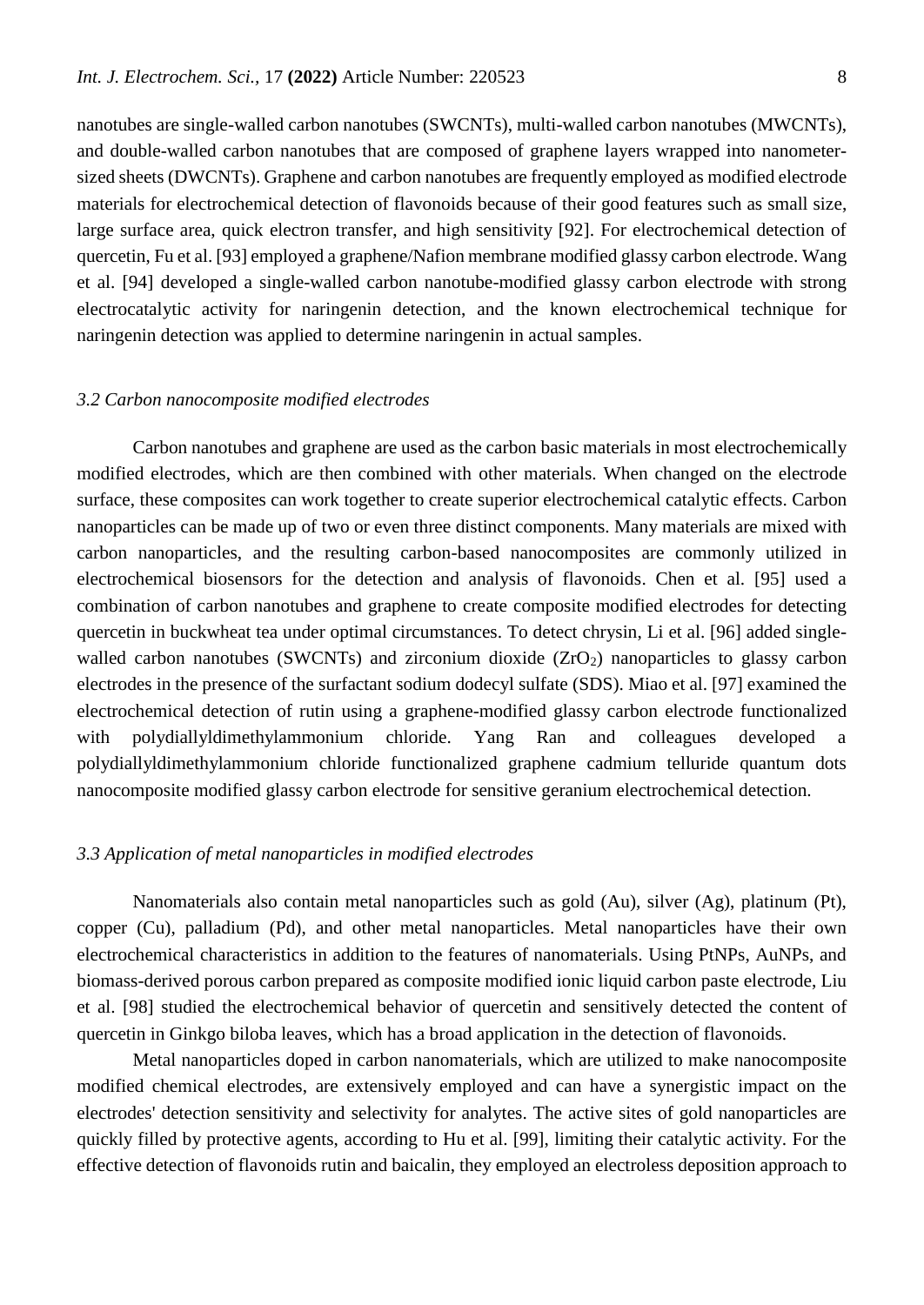nanotubes are single-walled carbon nanotubes (SWCNTs), multi-walled carbon nanotubes (MWCNTs), and double-walled carbon nanotubes that are composed of graphene layers wrapped into nanometersized sheets (DWCNTs). Graphene and carbon nanotubes are frequently employed as modified electrode materials for electrochemical detection of flavonoids because of their good features such as small size, large surface area, quick electron transfer, and high sensitivity [92]. For electrochemical detection of quercetin, Fu et al. [93] employed a graphene/Nafion membrane modified glassy carbon electrode. Wang et al. [94] developed a single-walled carbon nanotube-modified glassy carbon electrode with strong electrocatalytic activity for naringenin detection, and the known electrochemical technique for naringenin detection was applied to determine naringenin in actual samples.

#### *3.2 Carbon nanocomposite modified electrodes*

Carbon nanotubes and graphene are used as the carbon basic materials in most electrochemically modified electrodes, which are then combined with other materials. When changed on the electrode surface, these composites can work together to create superior electrochemical catalytic effects. Carbon nanoparticles can be made up of two or even three distinct components. Many materials are mixed with carbon nanoparticles, and the resulting carbon-based nanocomposites are commonly utilized in electrochemical biosensors for the detection and analysis of flavonoids. Chen et al. [95] used a combination of carbon nanotubes and graphene to create composite modified electrodes for detecting quercetin in buckwheat tea under optimal circumstances. To detect chrysin, Li et al. [96] added singlewalled carbon nanotubes (SWCNTs) and zirconium dioxide  $(ZrO<sub>2</sub>)$  nanoparticles to glassy carbon electrodes in the presence of the surfactant sodium dodecyl sulfate (SDS). Miao et al. [97] examined the electrochemical detection of rutin using a graphene-modified glassy carbon electrode functionalized with polydiallyldimethylammonium chloride. Yang Ran and colleagues developed a polydiallyldimethylammonium chloride functionalized graphene cadmium telluride quantum dots nanocomposite modified glassy carbon electrode for sensitive geranium electrochemical detection.

#### *3.3 Application of metal nanoparticles in modified electrodes*

Nanomaterials also contain metal nanoparticles such as gold (Au), silver (Ag), platinum (Pt), copper (Cu), palladium (Pd), and other metal nanoparticles. Metal nanoparticles have their own electrochemical characteristics in addition to the features of nanomaterials. Using PtNPs, AuNPs, and biomass-derived porous carbon prepared as composite modified ionic liquid carbon paste electrode, Liu et al. [98] studied the electrochemical behavior of quercetin and sensitively detected the content of quercetin in Ginkgo biloba leaves, which has a broad application in the detection of flavonoids.

Metal nanoparticles doped in carbon nanomaterials, which are utilized to make nanocomposite modified chemical electrodes, are extensively employed and can have a synergistic impact on the electrodes' detection sensitivity and selectivity for analytes. The active sites of gold nanoparticles are quickly filled by protective agents, according to Hu et al. [99], limiting their catalytic activity. For the effective detection of flavonoids rutin and baicalin, they employed an electroless deposition approach to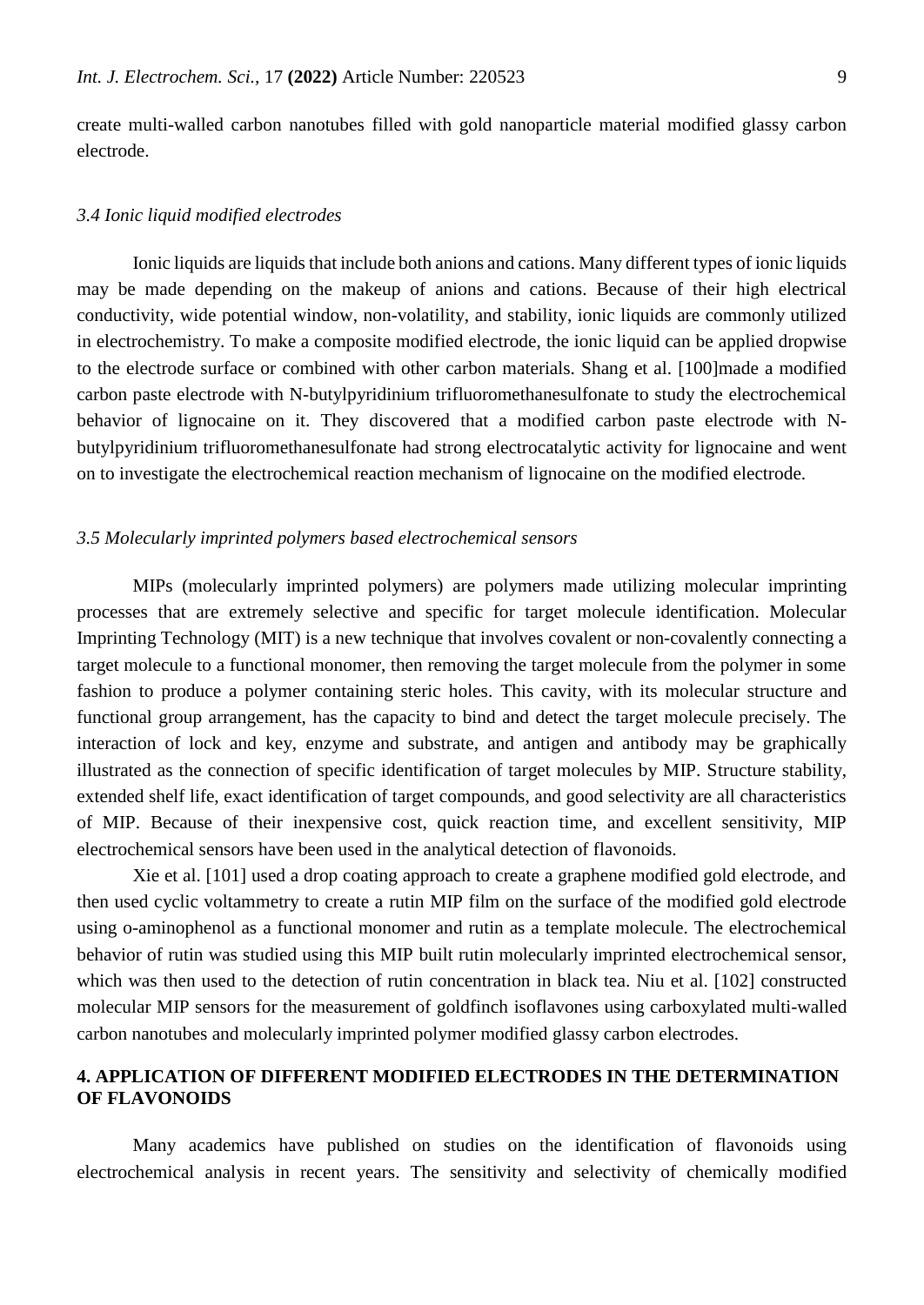create multi-walled carbon nanotubes filled with gold nanoparticle material modified glassy carbon electrode.

#### *3.4 Ionic liquid modified electrodes*

Ionic liquids are liquids that include both anions and cations. Many different types of ionic liquids may be made depending on the makeup of anions and cations. Because of their high electrical conductivity, wide potential window, non-volatility, and stability, ionic liquids are commonly utilized in electrochemistry. To make a composite modified electrode, the ionic liquid can be applied dropwise to the electrode surface or combined with other carbon materials. Shang et al. [100]made a modified carbon paste electrode with N-butylpyridinium trifluoromethanesulfonate to study the electrochemical behavior of lignocaine on it. They discovered that a modified carbon paste electrode with Nbutylpyridinium trifluoromethanesulfonate had strong electrocatalytic activity for lignocaine and went on to investigate the electrochemical reaction mechanism of lignocaine on the modified electrode.

## *3.5 Molecularly imprinted polymers based electrochemical sensors*

MIPs (molecularly imprinted polymers) are polymers made utilizing molecular imprinting processes that are extremely selective and specific for target molecule identification. Molecular Imprinting Technology (MIT) is a new technique that involves covalent or non-covalently connecting a target molecule to a functional monomer, then removing the target molecule from the polymer in some fashion to produce a polymer containing steric holes. This cavity, with its molecular structure and functional group arrangement, has the capacity to bind and detect the target molecule precisely. The interaction of lock and key, enzyme and substrate, and antigen and antibody may be graphically illustrated as the connection of specific identification of target molecules by MIP. Structure stability, extended shelf life, exact identification of target compounds, and good selectivity are all characteristics of MIP. Because of their inexpensive cost, quick reaction time, and excellent sensitivity, MIP electrochemical sensors have been used in the analytical detection of flavonoids.

Xie et al. [101] used a drop coating approach to create a graphene modified gold electrode, and then used cyclic voltammetry to create a rutin MIP film on the surface of the modified gold electrode using o-aminophenol as a functional monomer and rutin as a template molecule. The electrochemical behavior of rutin was studied using this MIP built rutin molecularly imprinted electrochemical sensor, which was then used to the detection of rutin concentration in black tea. Niu et al. [102] constructed molecular MIP sensors for the measurement of goldfinch isoflavones using carboxylated multi-walled carbon nanotubes and molecularly imprinted polymer modified glassy carbon electrodes.

# **4. APPLICATION OF DIFFERENT MODIFIED ELECTRODES IN THE DETERMINATION OF FLAVONOIDS**

Many academics have published on studies on the identification of flavonoids using electrochemical analysis in recent years. The sensitivity and selectivity of chemically modified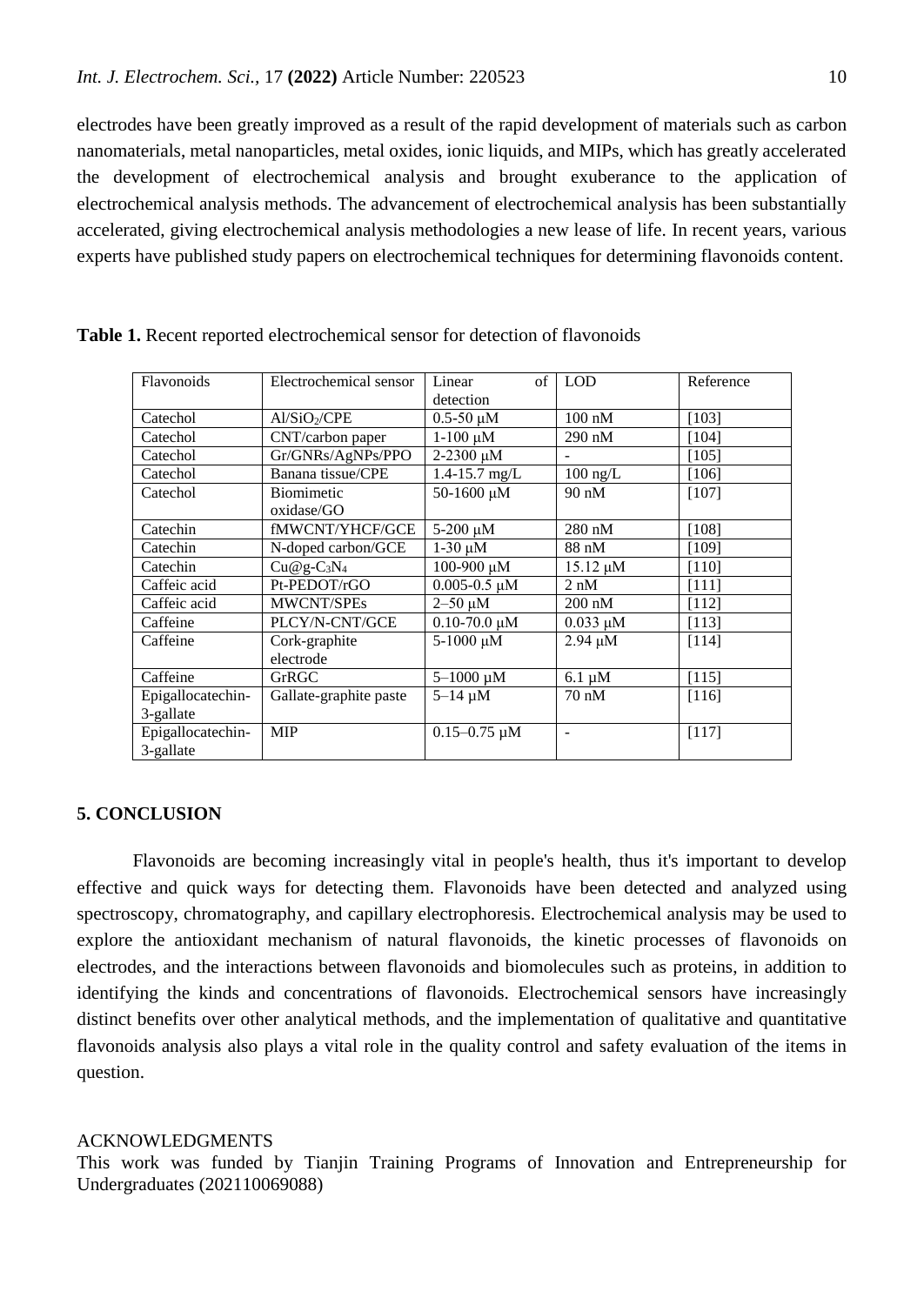electrodes have been greatly improved as a result of the rapid development of materials such as carbon nanomaterials, metal nanoparticles, metal oxides, ionic liquids, and MIPs, which has greatly accelerated the development of electrochemical analysis and brought exuberance to the application of electrochemical analysis methods. The advancement of electrochemical analysis has been substantially accelerated, giving electrochemical analysis methodologies a new lease of life. In recent years, various experts have published study papers on electrochemical techniques for determining flavonoids content.

| Flavonoids                     | Electrochemical sensor   | $\sigma$ f<br>Linear | <b>LOD</b>       | Reference |
|--------------------------------|--------------------------|----------------------|------------------|-----------|
|                                |                          | detection            |                  |           |
|                                |                          |                      |                  |           |
| Catechol                       | Al/SiO <sub>2</sub> /CPE | $0.5 - 50 \mu M$     | $100 \text{ nM}$ | [103]     |
| Catechol                       | CNT/carbon paper         | $1-100 \mu M$        | $290 \text{ nM}$ | [104]     |
| Catechol                       | Gr/GNRs/AgNPs/PPO        | $2-2300 \mu M$       |                  | [105]     |
| Catechol                       | Banana tissue/CPE        | $1.4 - 15.7$ mg/L    | $100$ ng/L       | [106]     |
| Catechol                       | <b>Biomimetic</b>        | 50-1600 μM           | 90 nM            | [107]     |
|                                | oxidase/GO               |                      |                  |           |
| Catechin                       | fMWCNT/YHCF/GCE          | $5-200 \mu M$        | $280 \text{ nM}$ | [108]     |
| Catechin                       | N-doped carbon/GCE       | $1-30 \mu M$         | 88 nM            | [109]     |
| Catechin                       | $Cu@g-C_3N_4$            | 100-900 μM           | $15.12 \mu M$    | $[110]$   |
| Caffeic acid                   | Pt-PEDOT/rGO             | $0.005 - 0.5 \mu M$  | $2 \text{ nM}$   | [111]     |
| Caffeic acid                   | MWCNT/SPEs               | $2 - 50 \mu M$       | $200 \text{ nM}$ | [112]     |
| Caffeine                       | PLCY/N-CNT/GCE           | $0.10 - 70.0 \mu M$  | $0.033 \mu M$    | [113]     |
| Caffeine                       | Cork-graphite            | 5-1000 μM            | $2.94 \mu M$     | [114]     |
|                                | electrode                |                      |                  |           |
| Caffeine                       | GrRGC                    | $5 - 1000 \mu M$     | $6.1 \mu M$      | [115]     |
| Epigallocatechin-              | Gallate-graphite paste   | $5 - 14 \mu M$       | $70 \text{ nM}$  | [116]     |
| 3-gallate                      |                          |                      |                  |           |
| Epigallocatechin-<br>3-gallate | <b>MIP</b>               | $0.15 - 0.75 \mu M$  |                  | [117]     |

**Table 1.** Recent reported electrochemical sensor for detection of flavonoids

## **5. CONCLUSION**

Flavonoids are becoming increasingly vital in people's health, thus it's important to develop effective and quick ways for detecting them. Flavonoids have been detected and analyzed using spectroscopy, chromatography, and capillary electrophoresis. Electrochemical analysis may be used to explore the antioxidant mechanism of natural flavonoids, the kinetic processes of flavonoids on electrodes, and the interactions between flavonoids and biomolecules such as proteins, in addition to identifying the kinds and concentrations of flavonoids. Electrochemical sensors have increasingly distinct benefits over other analytical methods, and the implementation of qualitative and quantitative flavonoids analysis also plays a vital role in the quality control and safety evaluation of the items in question.

#### ACKNOWLEDGMENTS

This work was funded by Tianjin Training Programs of Innovation and Entrepreneurship for Undergraduates (202110069088)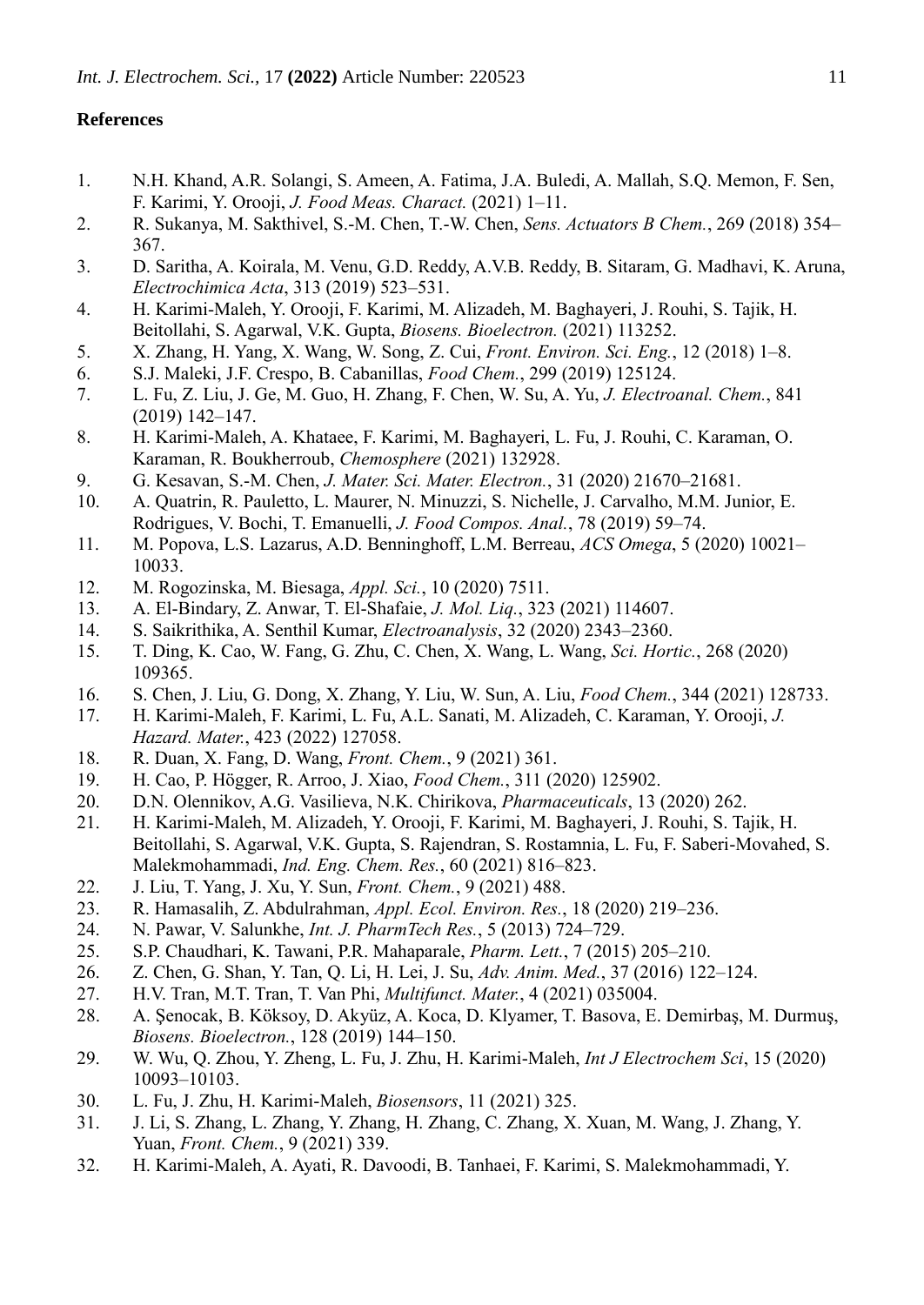# **References**

- 1. N.H. Khand, A.R. Solangi, S. Ameen, A. Fatima, J.A. Buledi, A. Mallah, S.Q. Memon, F. Sen, F. Karimi, Y. Orooji, *J. Food Meas. Charact.* (2021) 1–11.
- 2. R. Sukanya, M. Sakthivel, S.-M. Chen, T.-W. Chen, *Sens. Actuators B Chem.*, 269 (2018) 354– 367.
- 3. D. Saritha, A. Koirala, M. Venu, G.D. Reddy, A.V.B. Reddy, B. Sitaram, G. Madhavi, K. Aruna, *Electrochimica Acta*, 313 (2019) 523–531.
- 4. H. Karimi-Maleh, Y. Orooji, F. Karimi, M. Alizadeh, M. Baghayeri, J. Rouhi, S. Tajik, H. Beitollahi, S. Agarwal, V.K. Gupta, *Biosens. Bioelectron.* (2021) 113252.
- 5. X. Zhang, H. Yang, X. Wang, W. Song, Z. Cui, *Front. Environ. Sci. Eng.*, 12 (2018) 1–8.
- 6. S.J. Maleki, J.F. Crespo, B. Cabanillas, *Food Chem.*, 299 (2019) 125124.
- 7. L. Fu, Z. Liu, J. Ge, M. Guo, H. Zhang, F. Chen, W. Su, A. Yu, *J. Electroanal. Chem.*, 841 (2019) 142–147.
- 8. H. Karimi-Maleh, A. Khataee, F. Karimi, M. Baghayeri, L. Fu, J. Rouhi, C. Karaman, O. Karaman, R. Boukherroub, *Chemosphere* (2021) 132928.
- 9. G. Kesavan, S.-M. Chen, *J. Mater. Sci. Mater. Electron.*, 31 (2020) 21670–21681.
- 10. A. Quatrin, R. Pauletto, L. Maurer, N. Minuzzi, S. Nichelle, J. Carvalho, M.M. Junior, E. Rodrigues, V. Bochi, T. Emanuelli, *J. Food Compos. Anal.*, 78 (2019) 59–74.
- 11. M. Popova, L.S. Lazarus, A.D. Benninghoff, L.M. Berreau, *ACS Omega*, 5 (2020) 10021– 10033.
- 12. M. Rogozinska, M. Biesaga, *Appl. Sci.*, 10 (2020) 7511.
- 13. A. El-Bindary, Z. Anwar, T. El-Shafaie, *J. Mol. Liq.*, 323 (2021) 114607.
- 14. S. Saikrithika, A. Senthil Kumar, *Electroanalysis*, 32 (2020) 2343–2360.
- 15. T. Ding, K. Cao, W. Fang, G. Zhu, C. Chen, X. Wang, L. Wang, *Sci. Hortic.*, 268 (2020) 109365.
- 16. S. Chen, J. Liu, G. Dong, X. Zhang, Y. Liu, W. Sun, A. Liu, *Food Chem.*, 344 (2021) 128733.
- 17. H. Karimi-Maleh, F. Karimi, L. Fu, A.L. Sanati, M. Alizadeh, C. Karaman, Y. Orooji, *J. Hazard. Mater.*, 423 (2022) 127058.
- 18. R. Duan, X. Fang, D. Wang, *Front. Chem.*, 9 (2021) 361.
- 19. H. Cao, P. Högger, R. Arroo, J. Xiao, *Food Chem.*, 311 (2020) 125902.
- 20. D.N. Olennikov, A.G. Vasilieva, N.K. Chirikova, *Pharmaceuticals*, 13 (2020) 262.
- 21. H. Karimi-Maleh, M. Alizadeh, Y. Orooji, F. Karimi, M. Baghayeri, J. Rouhi, S. Tajik, H. Beitollahi, S. Agarwal, V.K. Gupta, S. Rajendran, S. Rostamnia, L. Fu, F. Saberi-Movahed, S. Malekmohammadi, *Ind. Eng. Chem. Res.*, 60 (2021) 816–823.
- 22. J. Liu, T. Yang, J. Xu, Y. Sun, *Front. Chem.*, 9 (2021) 488.
- 23. R. Hamasalih, Z. Abdulrahman, *Appl. Ecol. Environ. Res.*, 18 (2020) 219–236.
- 24. N. Pawar, V. Salunkhe, *Int. J. PharmTech Res.*, 5 (2013) 724–729.
- 25. S.P. Chaudhari, K. Tawani, P.R. Mahaparale, *Pharm. Lett.*, 7 (2015) 205–210.
- 26. Z. Chen, G. Shan, Y. Tan, Q. Li, H. Lei, J. Su, *Adv. Anim. Med.*, 37 (2016) 122–124.
- 27. H.V. Tran, M.T. Tran, T. Van Phi, *Multifunct. Mater.*, 4 (2021) 035004.
- 28. A. Şenocak, B. Köksoy, D. Akyüz, A. Koca, D. Klyamer, T. Basova, E. Demirbaş, M. Durmuş, *Biosens. Bioelectron.*, 128 (2019) 144–150.
- 29. W. Wu, Q. Zhou, Y. Zheng, L. Fu, J. Zhu, H. Karimi-Maleh, *Int J Electrochem Sci*, 15 (2020) 10093–10103.
- 30. L. Fu, J. Zhu, H. Karimi-Maleh, *Biosensors*, 11 (2021) 325.
- 31. J. Li, S. Zhang, L. Zhang, Y. Zhang, H. Zhang, C. Zhang, X. Xuan, M. Wang, J. Zhang, Y. Yuan, *Front. Chem.*, 9 (2021) 339.
- 32. H. Karimi-Maleh, A. Ayati, R. Davoodi, B. Tanhaei, F. Karimi, S. Malekmohammadi, Y.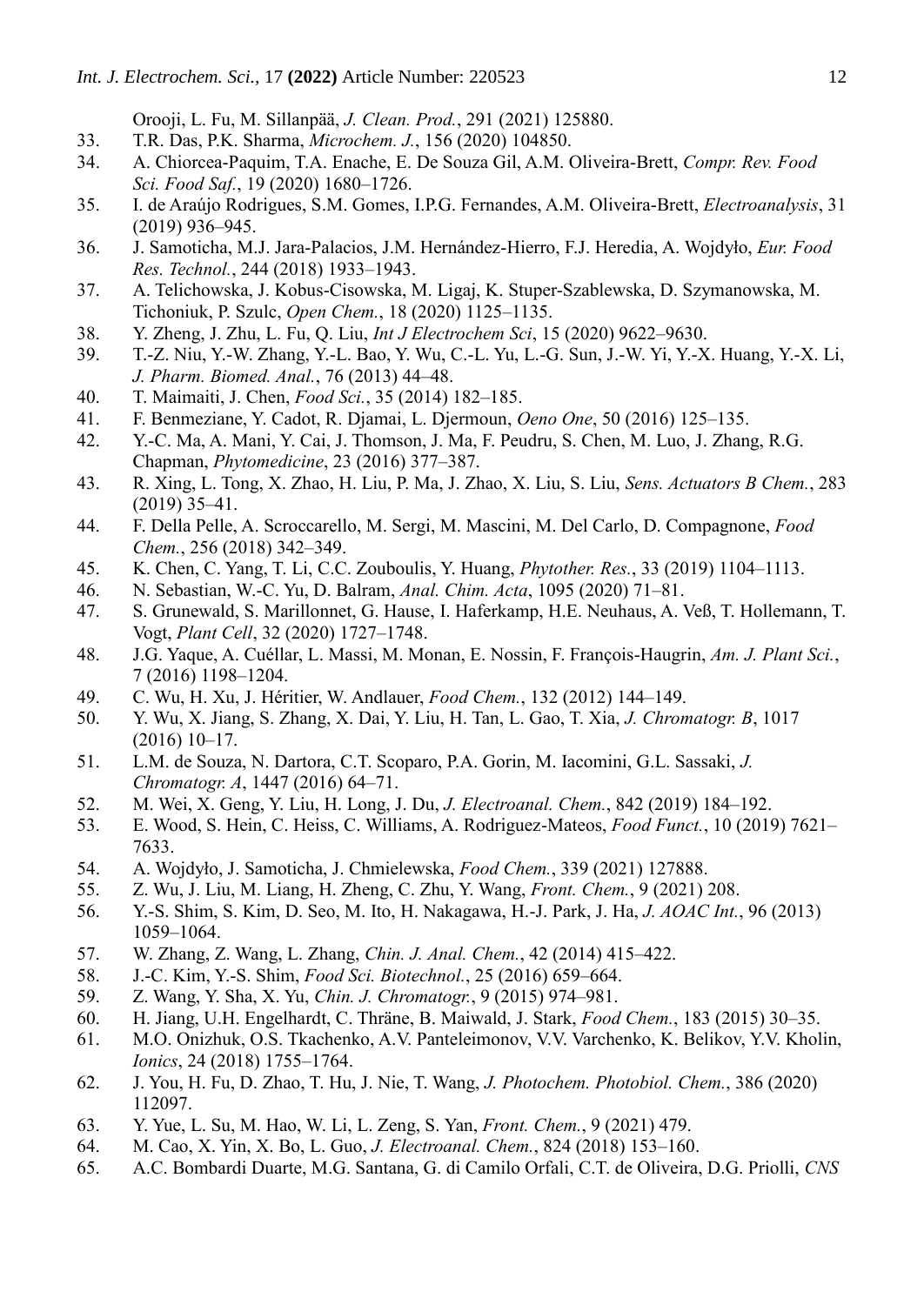Orooji, L. Fu, M. Sillanpää, *J. Clean. Prod.*, 291 (2021) 125880.

- 33. T.R. Das, P.K. Sharma, *Microchem. J.*, 156 (2020) 104850.
- 34. A. Chiorcea‐Paquim, T.A. Enache, E. De Souza Gil, A.M. Oliveira‐Brett, *Compr. Rev. Food Sci. Food Saf.*, 19 (2020) 1680–1726.
- 35. I. de Araújo Rodrigues, S.M. Gomes, I.P.G. Fernandes, A.M. Oliveira‐Brett, *Electroanalysis*, 31 (2019) 936–945.
- 36. J. Samoticha, M.J. Jara-Palacios, J.M. Hernández-Hierro, F.J. Heredia, A. Wojdyło, *Eur. Food Res. Technol.*, 244 (2018) 1933–1943.
- 37. A. Telichowska, J. Kobus-Cisowska, M. Ligaj, K. Stuper-Szablewska, D. Szymanowska, M. Tichoniuk, P. Szulc, *Open Chem.*, 18 (2020) 1125–1135.
- 38. Y. Zheng, J. Zhu, L. Fu, Q. Liu, *Int J Electrochem Sci*, 15 (2020) 9622–9630.
- 39. T.-Z. Niu, Y.-W. Zhang, Y.-L. Bao, Y. Wu, C.-L. Yu, L.-G. Sun, J.-W. Yi, Y.-X. Huang, Y.-X. Li, *J. Pharm. Biomed. Anal.*, 76 (2013) 44–48.
- 40. T. Maimaiti, J. Chen, *Food Sci.*, 35 (2014) 182–185.
- 41. F. Benmeziane, Y. Cadot, R. Djamai, L. Djermoun, *Oeno One*, 50 (2016) 125–135.
- 42. Y.-C. Ma, A. Mani, Y. Cai, J. Thomson, J. Ma, F. Peudru, S. Chen, M. Luo, J. Zhang, R.G. Chapman, *Phytomedicine*, 23 (2016) 377–387.
- 43. R. Xing, L. Tong, X. Zhao, H. Liu, P. Ma, J. Zhao, X. Liu, S. Liu, *Sens. Actuators B Chem.*, 283 (2019) 35–41.
- 44. F. Della Pelle, A. Scroccarello, M. Sergi, M. Mascini, M. Del Carlo, D. Compagnone, *Food Chem.*, 256 (2018) 342–349.
- 45. K. Chen, C. Yang, T. Li, C.C. Zouboulis, Y. Huang, *Phytother. Res.*, 33 (2019) 1104–1113.
- 46. N. Sebastian, W.-C. Yu, D. Balram, *Anal. Chim. Acta*, 1095 (2020) 71–81.
- 47. S. Grunewald, S. Marillonnet, G. Hause, I. Haferkamp, H.E. Neuhaus, A. Veß, T. Hollemann, T. Vogt, *Plant Cell*, 32 (2020) 1727–1748.
- 48. J.G. Yaque, A. Cuéllar, L. Massi, M. Monan, E. Nossin, F. François-Haugrin, *Am. J. Plant Sci.*, 7 (2016) 1198–1204.
- 49. C. Wu, H. Xu, J. Héritier, W. Andlauer, *Food Chem.*, 132 (2012) 144–149.
- 50. Y. Wu, X. Jiang, S. Zhang, X. Dai, Y. Liu, H. Tan, L. Gao, T. Xia, *J. Chromatogr. B*, 1017 (2016) 10–17.
- 51. L.M. de Souza, N. Dartora, C.T. Scoparo, P.A. Gorin, M. Iacomini, G.L. Sassaki, *J. Chromatogr. A*, 1447 (2016) 64–71.
- 52. M. Wei, X. Geng, Y. Liu, H. Long, J. Du, *J. Electroanal. Chem.*, 842 (2019) 184–192.
- 53. E. Wood, S. Hein, C. Heiss, C. Williams, A. Rodriguez-Mateos, *Food Funct.*, 10 (2019) 7621– 7633.
- 54. A. Wojdyło, J. Samoticha, J. Chmielewska, *Food Chem.*, 339 (2021) 127888.
- 55. Z. Wu, J. Liu, M. Liang, H. Zheng, C. Zhu, Y. Wang, *Front. Chem.*, 9 (2021) 208.
- 56. Y.-S. Shim, S. Kim, D. Seo, M. Ito, H. Nakagawa, H.-J. Park, J. Ha, *J. AOAC Int.*, 96 (2013) 1059–1064.
- 57. W. Zhang, Z. Wang, L. Zhang, *Chin. J. Anal. Chem.*, 42 (2014) 415–422.
- 58. J.-C. Kim, Y.-S. Shim, *Food Sci. Biotechnol.*, 25 (2016) 659–664.
- 59. Z. Wang, Y. Sha, X. Yu, *Chin. J. Chromatogr.*, 9 (2015) 974–981.
- 60. H. Jiang, U.H. Engelhardt, C. Thräne, B. Maiwald, J. Stark, *Food Chem.*, 183 (2015) 30–35.
- 61. M.O. Onizhuk, O.S. Tkachenko, A.V. Panteleimonov, V.V. Varchenko, K. Belikov, Y.V. Kholin, *Ionics*, 24 (2018) 1755–1764.
- 62. J. You, H. Fu, D. Zhao, T. Hu, J. Nie, T. Wang, *J. Photochem. Photobiol. Chem.*, 386 (2020) 112097.
- 63. Y. Yue, L. Su, M. Hao, W. Li, L. Zeng, S. Yan, *Front. Chem.*, 9 (2021) 479.
- 64. M. Cao, X. Yin, X. Bo, L. Guo, *J. Electroanal. Chem.*, 824 (2018) 153–160.
- 65. A.C. Bombardi Duarte, M.G. Santana, G. di Camilo Orfali, C.T. de Oliveira, D.G. Priolli, *CNS*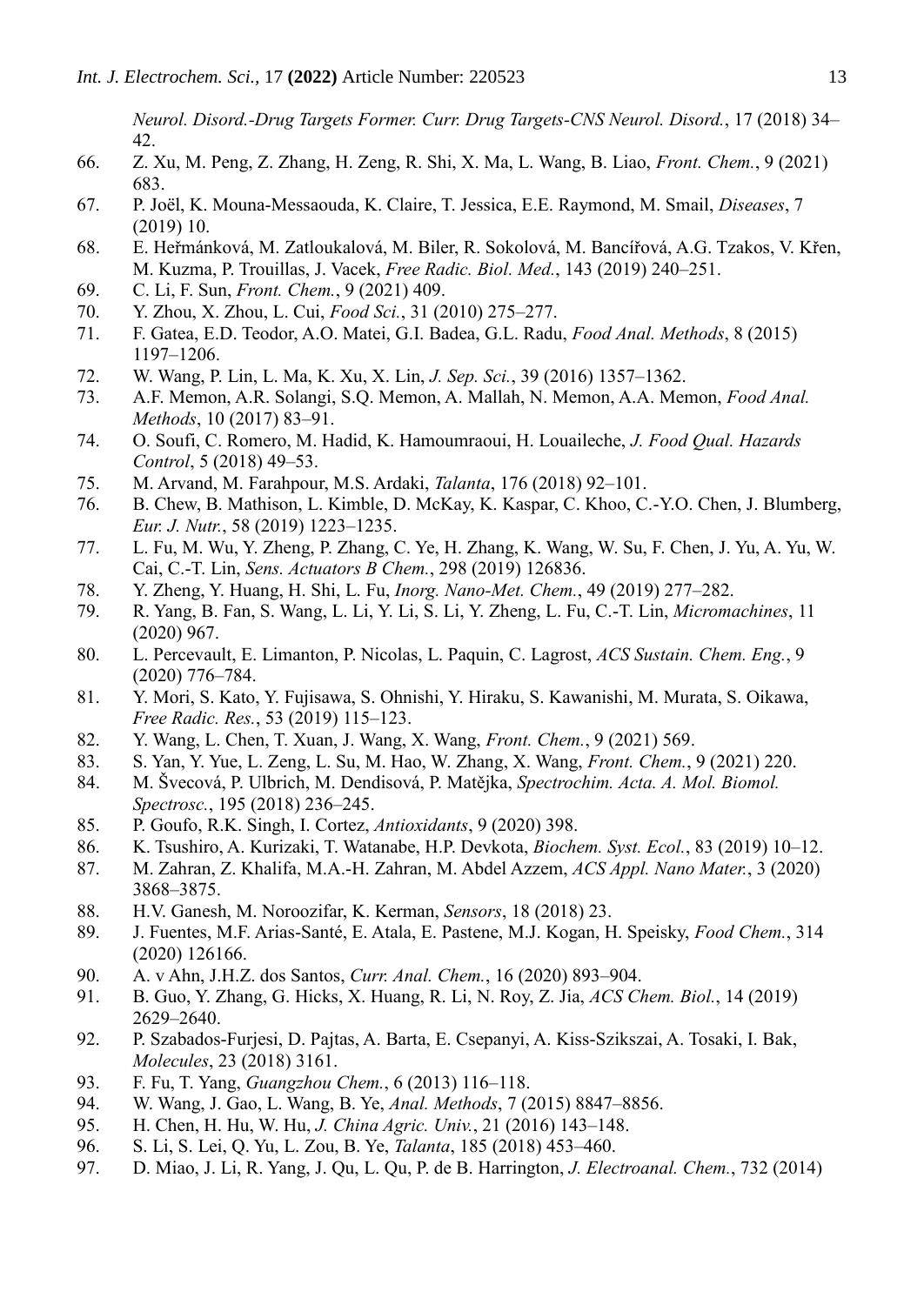*Neurol. Disord.-Drug Targets Former. Curr. Drug Targets-CNS Neurol. Disord.*, 17 (2018) 34– 42.

- 66. Z. Xu, M. Peng, Z. Zhang, H. Zeng, R. Shi, X. Ma, L. Wang, B. Liao, *Front. Chem.*, 9 (2021) 683.
- 67. P. Joël, K. Mouna-Messaouda, K. Claire, T. Jessica, E.E. Raymond, M. Smail, *Diseases*, 7 (2019) 10.
- 68. E. Heřmánková, M. Zatloukalová, M. Biler, R. Sokolová, M. Bancířová, A.G. Tzakos, V. Křen, M. Kuzma, P. Trouillas, J. Vacek, *Free Radic. Biol. Med.*, 143 (2019) 240–251.
- 69. C. Li, F. Sun, *Front. Chem.*, 9 (2021) 409.
- 70. Y. Zhou, X. Zhou, L. Cui, *Food Sci.*, 31 (2010) 275–277.
- 71. F. Gatea, E.D. Teodor, A.O. Matei, G.I. Badea, G.L. Radu, *Food Anal. Methods*, 8 (2015) 1197–1206.
- 72. W. Wang, P. Lin, L. Ma, K. Xu, X. Lin, *J. Sep. Sci.*, 39 (2016) 1357–1362.
- 73. A.F. Memon, A.R. Solangi, S.Q. Memon, A. Mallah, N. Memon, A.A. Memon, *Food Anal. Methods*, 10 (2017) 83–91.
- 74. O. Soufi, C. Romero, M. Hadid, K. Hamoumraoui, H. Louaileche, *J. Food Qual. Hazards Control*, 5 (2018) 49–53.
- 75. M. Arvand, M. Farahpour, M.S. Ardaki, *Talanta*, 176 (2018) 92–101.
- 76. B. Chew, B. Mathison, L. Kimble, D. McKay, K. Kaspar, C. Khoo, C.-Y.O. Chen, J. Blumberg, *Eur. J. Nutr.*, 58 (2019) 1223–1235.
- 77. L. Fu, M. Wu, Y. Zheng, P. Zhang, C. Ye, H. Zhang, K. Wang, W. Su, F. Chen, J. Yu, A. Yu, W. Cai, C.-T. Lin, *Sens. Actuators B Chem.*, 298 (2019) 126836.
- 78. Y. Zheng, Y. Huang, H. Shi, L. Fu, *Inorg. Nano-Met. Chem.*, 49 (2019) 277–282.
- 79. R. Yang, B. Fan, S. Wang, L. Li, Y. Li, S. Li, Y. Zheng, L. Fu, C.-T. Lin, *Micromachines*, 11 (2020) 967.
- 80. L. Percevault, E. Limanton, P. Nicolas, L. Paquin, C. Lagrost, *ACS Sustain. Chem. Eng.*, 9 (2020) 776–784.
- 81. Y. Mori, S. Kato, Y. Fujisawa, S. Ohnishi, Y. Hiraku, S. Kawanishi, M. Murata, S. Oikawa, *Free Radic. Res.*, 53 (2019) 115–123.
- 82. Y. Wang, L. Chen, T. Xuan, J. Wang, X. Wang, *Front. Chem.*, 9 (2021) 569.
- 83. S. Yan, Y. Yue, L. Zeng, L. Su, M. Hao, W. Zhang, X. Wang, *Front. Chem.*, 9 (2021) 220.
- 84. M. Švecová, P. Ulbrich, M. Dendisová, P. Matějka, *Spectrochim. Acta. A. Mol. Biomol. Spectrosc.*, 195 (2018) 236–245.
- 85. P. Goufo, R.K. Singh, I. Cortez, *Antioxidants*, 9 (2020) 398.
- 86. K. Tsushiro, A. Kurizaki, T. Watanabe, H.P. Devkota, *Biochem. Syst. Ecol.*, 83 (2019) 10–12.
- 87. M. Zahran, Z. Khalifa, M.A.-H. Zahran, M. Abdel Azzem, *ACS Appl. Nano Mater.*, 3 (2020) 3868–3875.
- 88. H.V. Ganesh, M. Noroozifar, K. Kerman, *Sensors*, 18 (2018) 23.
- 89. J. Fuentes, M.F. Arias-Santé, E. Atala, E. Pastene, M.J. Kogan, H. Speisky, *Food Chem.*, 314 (2020) 126166.
- 90. A. v Ahn, J.H.Z. dos Santos, *Curr. Anal. Chem.*, 16 (2020) 893–904.
- 91. B. Guo, Y. Zhang, G. Hicks, X. Huang, R. Li, N. Roy, Z. Jia, *ACS Chem. Biol.*, 14 (2019) 2629–2640.
- 92. P. Szabados-Furjesi, D. Pajtas, A. Barta, E. Csepanyi, A. Kiss-Szikszai, A. Tosaki, I. Bak, *Molecules*, 23 (2018) 3161.
- 93. F. Fu, T. Yang, *Guangzhou Chem.*, 6 (2013) 116–118.
- 94. W. Wang, J. Gao, L. Wang, B. Ye, *Anal. Methods*, 7 (2015) 8847–8856.
- 95. H. Chen, H. Hu, W. Hu, *J. China Agric. Univ.*, 21 (2016) 143–148.
- 96. S. Li, S. Lei, Q. Yu, L. Zou, B. Ye, *Talanta*, 185 (2018) 453–460.
- 97. D. Miao, J. Li, R. Yang, J. Qu, L. Qu, P. de B. Harrington, *J. Electroanal. Chem.*, 732 (2014)